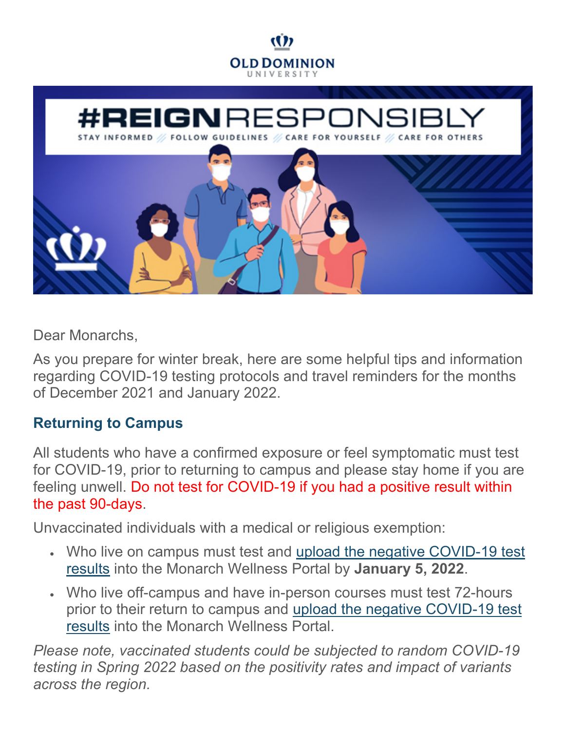



Dear Monarchs,

As you prepare for winter break, here are some helpful tips and information regarding COVID-19 testing protocols and travel reminders for the months of December 2021 and January 2022.

#### **Returning to Campus**

All students who have a confirmed exposure or feel symptomatic must test for COVID-19, prior to returning to campus and please stay home if you are feeling unwell. Do not test for COVID-19 if you had a positive result within the past 90-days.

Unvaccinated individuals with a medical or religious exemption:

- Who live on campus must test and [upload the negative COVID-19 test](https://www.youtube.com/watch?v=88CG3ysDsX8&t=3s)  [results](https://www.youtube.com/watch?v=88CG3ysDsX8&t=3s) into the Monarch Wellness Portal by **January 5, 2022**.
- Who live off-campus and have in-person courses must test 72-hours prior to their return to campus and [upload the negative COVID-19 test](https://www.youtube.com/watch?v=88CG3ysDsX8&t=3s)  [results](https://www.youtube.com/watch?v=88CG3ysDsX8&t=3s) into the Monarch Wellness Portal.

*Please note, vaccinated students could be subjected to random COVID-19 testing in Spring 2022 based on the positivity rates and impact of variants across the region.*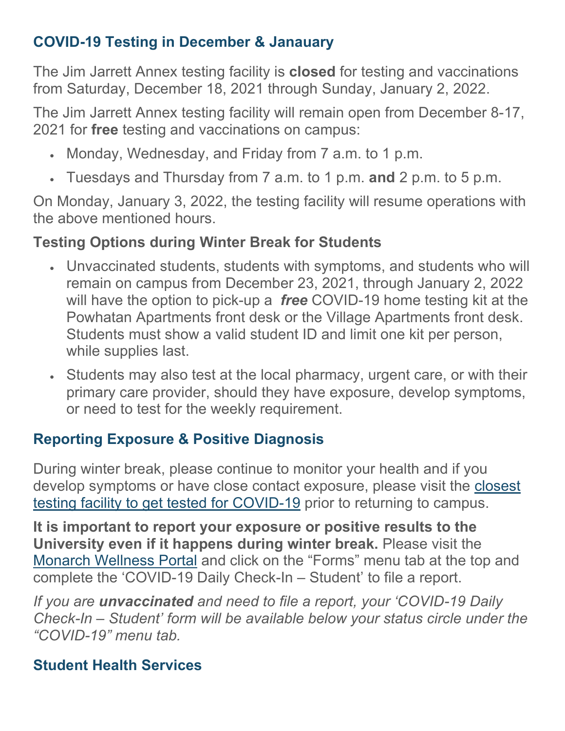### **COVID-19 Testing in December & Janauary**

The Jim Jarrett Annex testing facility is **closed** for testing and vaccinations from Saturday, December 18, 2021 through Sunday, January 2, 2022.

The Jim Jarrett Annex testing facility will remain open from December 8-17, 2021 for **free** testing and vaccinations on campus:

- Monday, Wednesday, and Friday from 7 a.m. to 1 p.m.
- Tuesdays and Thursday from 7 a.m. to 1 p.m. **and** 2 p.m. to 5 p.m.

On Monday, January 3, 2022, the testing facility will resume operations with the above mentioned hours.

### **Testing Options during Winter Break for Students**

- Unvaccinated students, students with symptoms, and students who will remain on campus from December 23, 2021, through January 2, 2022 will have the option to pick-up a *free* COVID-19 home testing kit at the Powhatan Apartments front desk or the Village Apartments front desk. Students must show a valid student ID and limit one kit per person, while supplies last.
- Students may also test at the local pharmacy, urgent care, or with their primary care provider, should they have exposure, develop symptoms, or need to test for the weekly requirement.

# **Reporting Exposure & Positive Diagnosis**

During winter break, please continue to monitor your health and if you develop symptoms or have close contact exposure, please visit the [closest](https://www.vdh.virginia.gov/coronavirus/protect-yourself/covid-19-testing/covid-19-testing-sites/)  [testing facility to get tested for COVID-19](https://www.vdh.virginia.gov/coronavirus/protect-yourself/covid-19-testing/covid-19-testing-sites/) prior to returning to campus.

**It is important to report your exposure or positive results to the University even if it happens during winter break.** Please visit the [Monarch Wellness Portal](https://odu.medicatconnect.com/home.aspx) and click on the "Forms" menu tab at the top and complete the 'COVID-19 Daily Check-In – Student' to file a report.

*If you are unvaccinated and need to file a report, your 'COVID-19 Daily Check-In – Student' form will be available below your status circle under the "COVID-19" menu tab.*

# **Student Health Services**